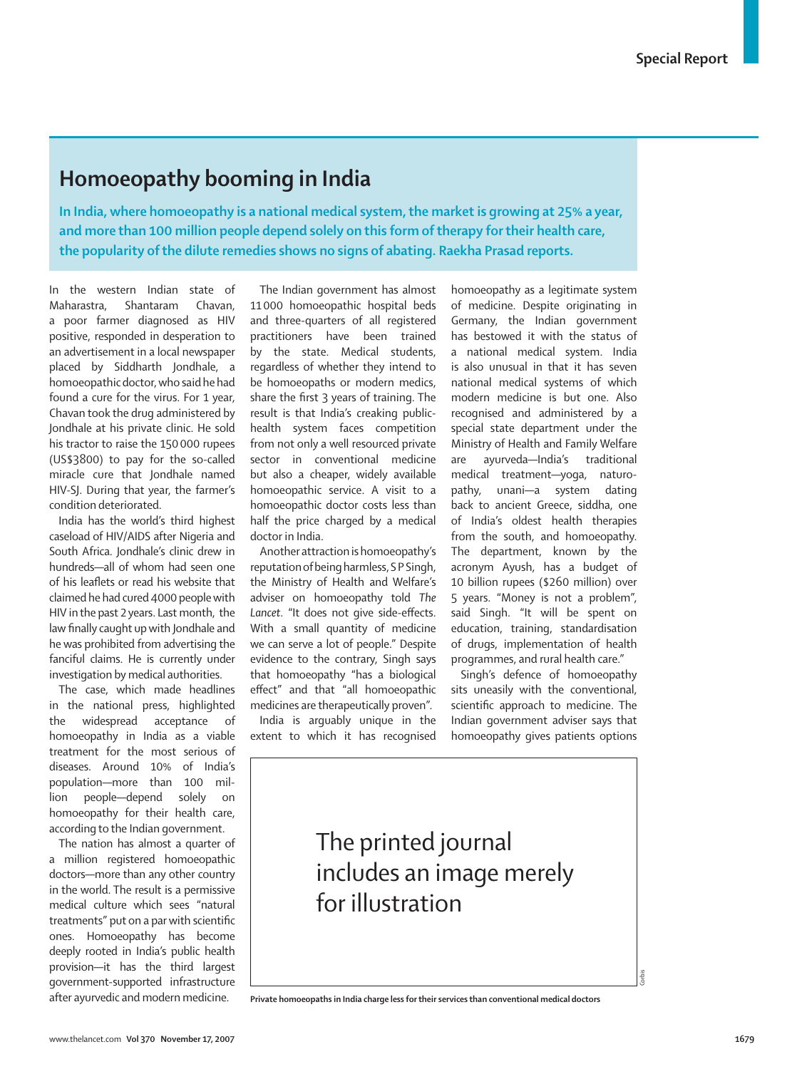## **Homoeopathy booming in India**

**In India, where homoeopathy is a national medical system, the market is growing at 25% a year, and more than 100 million people depend solely on this form of therapy for their health care, the popularity of the dilute remedies shows no signs of abating. Raekha Prasad reports.** 

In the western Indian state of Maharastra, Shantaram Chavan, a poor farmer diagnosed as HIV positive, responded in desperation to an advertisement in a local newspaper placed by Siddharth Jondhale, a homoeopathic doctor, who said he had found a cure for the virus. For 1 year, Chavan took the drug administered by Jondhale at his private clinic. He sold his tractor to raise the 150 000 rupees (US\$3800) to pay for the so-called miracle cure that Jondhale named HIV-SJ. During that year, the farmer's condition deteriorated.

India has the world's third highest caseload of HIV/AIDS after Nigeria and South Africa. Jondhale's clinic drew in hundreds—all of whom had seen one of his leaflets or read his website that claimed he had cured 4000 people with HIV in the past 2 years. Last month, the law finally caught up with Jondhale and he was prohibited from advertising the fanciful claims. He is currently under investigation by medical authorities.

The case, which made headlines in the national press, highlighted the widespread acceptance of homoeopathy in India as a viable treatment for the most serious of diseases. Around 10% of India's population—more than 100 million people—depend solely on homoeopathy for their health care, according to the Indian government.

The nation has almost a quarter of a million registered homoeopathic doctors—more than any other country in the world. The result is a permissive medical culture which sees "natural treatments" put on a par with scientific ones. Homoeopathy has become deeply rooted in India's public health provision—it has the third largest government-supported infrastructure after ayurvedic and modern medicine.

The Indian government has almost 11 000 homoeopathic hospital beds and three-quarters of all registered practitioners have been trained by the state. Medical students, regardless of whether they intend to be homoeopaths or modern medics, share the first 3 years of training. The result is that India's creaking publichealth system faces competition from not only a well resourced private sector in conventional medicine but also a cheaper, widely available homoeopathic service. A visit to a homoeopathic doctor costs less than half the price charged by a medical doctor in India.

Another attraction is homoeopathy's reputation of being harmless, S P Singh, the Ministry of Health and Welfare's adviser on homoeopathy told *The*  Lancet. "It does not give side-effects. With a small quantity of medicine we can serve a lot of people." Despite evidence to the contrary, Singh says that homoeopathy "has a biological effect" and that "all homoeopathic medicines are therapeutically proven".

India is arguably unique in the extent to which it has recognised

homoeopathy as a legitimate system of medicine. Despite originating in Germany, the Indian government has bestowed it with the status of a national medical system. India is also unusual in that it has seven national medical systems of which modern medicine is but one. Also recognised and administered by a special state department under the Ministry of Health and Family Welfare are ayurveda—India's traditional medical treatment—yoga, naturopathy, unani—a system dating back to ancient Greece, siddha, one of India's oldest health therapies from the south, and homoeopathy. The department, known by the acronym Ayush, has a budget of 10 billion rupees (\$260 million) over 5 years. "Money is not a problem", said Singh. "It will be spent on education, training, standardisation of drugs, implementation of health programmes, and rural health care."

Singh's defence of homoeopathy sits uneasily with the conventional, scientific approach to medicine. The Indian government adviser says that homoeopathy gives patients options

## The printed journal includes an image merely for illustration

**Private homoeopaths in India charge less for their services than conventional medical doctors** 

Corbis